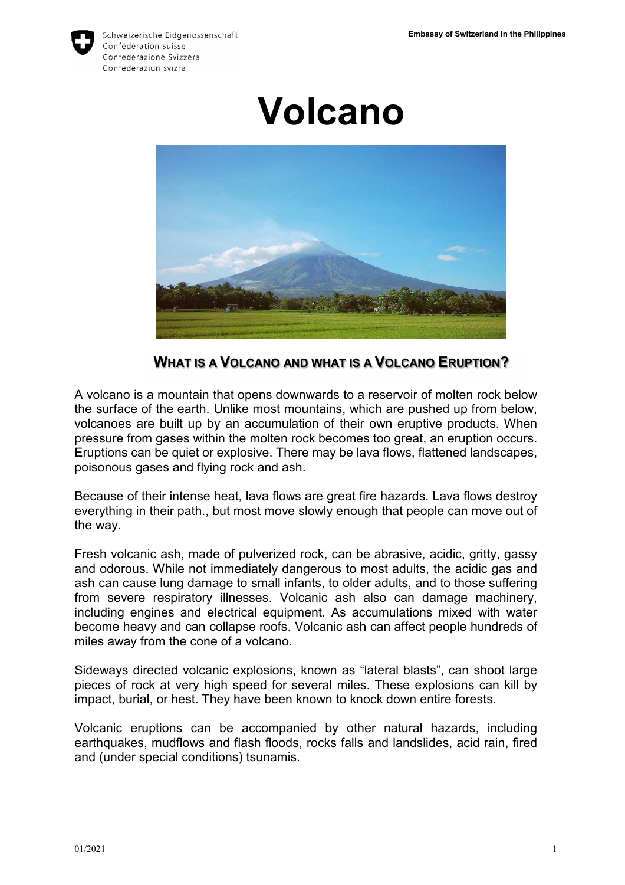

Schweizerische Eidgenossenschaft Confédération suisse Confederazione Svizzera Confederaziun svizra

# **Volcano**



**WHAT IS A VOLCANO AND WHAT IS A VOLCANO ERUPTION?** 

A volcano is a mountain that opens downwards to a reservoir of molten rock below the surface of the earth. Unlike most mountains, which are pushed up from below, volcanoes are built up by an accumulation of their own eruptive products. When pressure from gases within the molten rock becomes too great, an eruption occurs. Eruptions can be quiet or explosive. There may be lava flows, flattened landscapes, poisonous gases and flying rock and ash.

Because of their intense heat, lava flows are great fire hazards. Lava flows destroy everything in their path., but most move slowly enough that people can move out of the way.

Fresh volcanic ash, made of pulverized rock, can be abrasive, acidic, gritty, gassy and odorous. While not immediately dangerous to most adults, the acidic gas and ash can cause lung damage to small infants, to older adults, and to those suffering from severe respiratory illnesses. Volcanic ash also can damage machinery, including engines and electrical equipment. As accumulations mixed with water become heavy and can collapse roofs. Volcanic ash can affect people hundreds of miles away from the cone of a volcano.

Sideways directed volcanic explosions, known as "lateral blasts", can shoot large pieces of rock at very high speed for several miles. These explosions can kill by impact, burial, or hest. They have been known to knock down entire forests.

Volcanic eruptions can be accompanied by other natural hazards, including earthquakes, mudflows and flash floods, rocks falls and landslides, acid rain, fired and (under special conditions) tsunamis.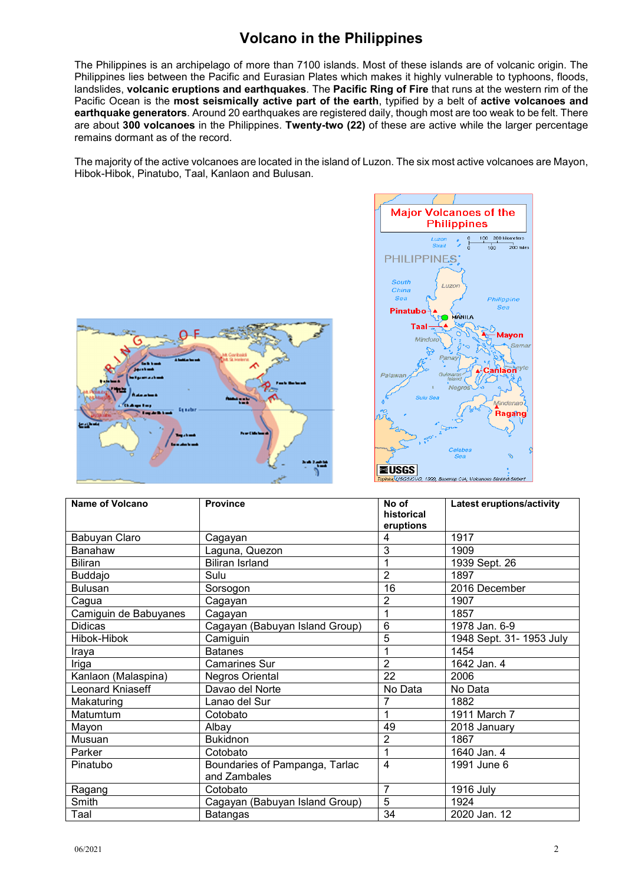### **Volcano in the Philippines**

The Philippines is an archipelago of more than 7100 islands. Most of these islands are of volcanic origin. The Philippines lies between the Pacific and Eurasian Plates which makes it highly vulnerable to typhoons, floods, landslides, **volcanic eruptions and earthquakes**. The **Pacific Ring of Fire** that runs at the western rim of the Pacific Ocean is the **most seismically active part of the earth**, typified by a belt of **active volcanoes and earthquake generators**. Around 20 earthquakes are registered daily, though most are too weak to be felt. There are about **300 volcanoes** in the Philippines. **Twenty-two (22)** of these are active while the larger percentage remains dormant as of the record.

The majority of the active volcanoes are located in the island of Luzon. The six most active volcanoes are Mayon, Hibok-Hibok, Pinatubo, Taal, Kanlaon and Bulusan.

 $100$ 

 $\frac{1}{200}$  mil

Philippine

Mavon

anlaon

**i**indanar Ragang



| <b>Name of Volcano</b> | <b>Province</b>                | No of<br>historical<br>eruptions | <b>Latest eruptions/activity</b> |
|------------------------|--------------------------------|----------------------------------|----------------------------------|
| Babuyan Claro          | Cagayan                        | 4                                | 1917                             |
| <b>Banahaw</b>         | Laguna, Quezon                 | 3                                | 1909                             |
| <b>Biliran</b>         | <b>Biliran Isrland</b>         | 1                                | 1939 Sept. 26                    |
| <b>Buddajo</b>         | Sulu                           | $\overline{2}$                   | 1897                             |
| <b>Bulusan</b>         | Sorsogon                       | 16                               | 2016 December                    |
| Cagua                  | Cagayan                        | $\overline{2}$                   | 1907                             |
| Camiguin de Babuyanes  | Cagayan                        | 1                                | 1857                             |
| <b>Didicas</b>         | Cagayan (Babuyan Island Group) | $6\phantom{1}6$                  | 1978 Jan. 6-9                    |
| Hibok-Hibok            | Camiguin                       | 5                                | 1948 Sept. 31- 1953 July         |
| Iraya                  | <b>Batanes</b>                 | 1                                | 1454                             |
| Iriga                  | <b>Camarines Sur</b>           | $\overline{2}$                   | 1642 Jan. 4                      |
| Kanlaon (Malaspina)    | Negros Oriental                | $\overline{22}$                  | 2006                             |
| Leonard Kniaseff       | Davao del Norte                | No Data                          | No Data                          |
| Makaturing             | Lanao del Sur                  | 7                                | 1882                             |
| Matumtum               | Cotobato                       |                                  | 1911 March 7                     |
| Mayon                  | Albay                          | 49                               | 2018 January                     |
| Musuan                 | <b>Bukidnon</b>                | $\overline{2}$                   | 1867                             |
| Parker                 | Cotobato                       | 1                                | 1640 Jan. 4                      |
| Pinatubo               | Boundaries of Pampanga, Tarlac | $\overline{4}$                   | 1991 June 6                      |
|                        | and Zambales                   |                                  |                                  |
| Ragang                 | Cotobato                       | $\overline{7}$                   | 1916 July                        |
| Smith                  | Cagayan (Babuyan Island Group) | 5                                | 1924                             |
| Taal                   | <b>Batangas</b>                | 34                               | 2020 Jan. 12                     |